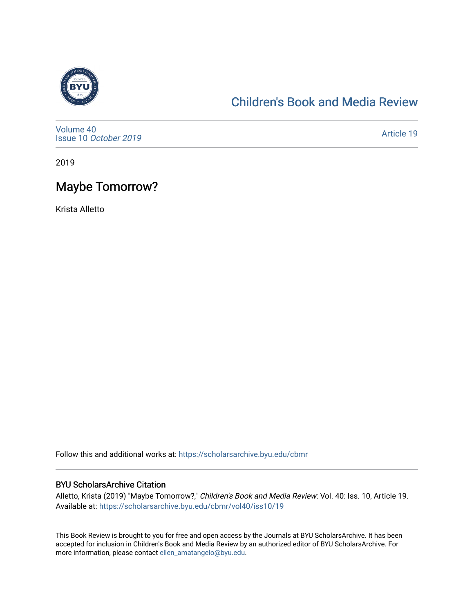

### [Children's Book and Media Review](https://scholarsarchive.byu.edu/cbmr)

[Volume 40](https://scholarsarchive.byu.edu/cbmr/vol40) Issue 10 [October 2019](https://scholarsarchive.byu.edu/cbmr/vol40/iss10)

[Article 19](https://scholarsarchive.byu.edu/cbmr/vol40/iss10/19) 

2019

## Maybe Tomorrow?

Krista Alletto

Follow this and additional works at: [https://scholarsarchive.byu.edu/cbmr](https://scholarsarchive.byu.edu/cbmr?utm_source=scholarsarchive.byu.edu%2Fcbmr%2Fvol40%2Fiss10%2F19&utm_medium=PDF&utm_campaign=PDFCoverPages) 

#### BYU ScholarsArchive Citation

Alletto, Krista (2019) "Maybe Tomorrow?," Children's Book and Media Review: Vol. 40: Iss. 10, Article 19. Available at: [https://scholarsarchive.byu.edu/cbmr/vol40/iss10/19](https://scholarsarchive.byu.edu/cbmr/vol40/iss10/19?utm_source=scholarsarchive.byu.edu%2Fcbmr%2Fvol40%2Fiss10%2F19&utm_medium=PDF&utm_campaign=PDFCoverPages) 

This Book Review is brought to you for free and open access by the Journals at BYU ScholarsArchive. It has been accepted for inclusion in Children's Book and Media Review by an authorized editor of BYU ScholarsArchive. For more information, please contact [ellen\\_amatangelo@byu.edu.](mailto:ellen_amatangelo@byu.edu)